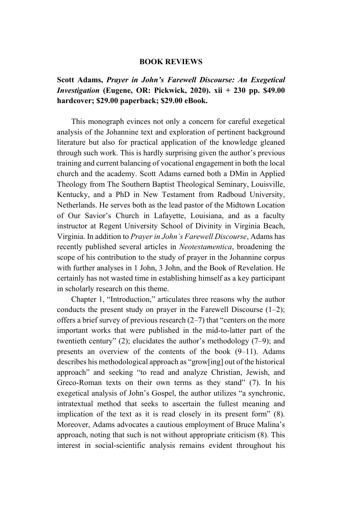## **BOOK REVIEWS**

## **Scott Adams,** *Prayer in John's Farewell Discourse: An Exegetical Investigation* **(Eugene, OR: Pickwick, 2020). xii + 230 pp. \$49.00 hardcover; \$29.00 paperback; \$29.00 eBook.**

This monograph evinces not only a concern for careful exegetical analysis of the Johannine text and exploration of pertinent background literature but also for practical application of the knowledge gleaned through such work. This is hardly surprising given the author's previous training and current balancing of vocational engagement in both the local church and the academy. Scott Adams earned both a DMin in Applied Theology from The Southern Baptist Theological Seminary, Louisville, Kentucky, and a PhD in New Testament from Radboud University, Netherlands. He serves both as the lead pastor of the Midtown Location of Our Savior's Church in Lafayette, Louisiana, and as a faculty instructor at Regent University School of Divinity in Virginia Beach, Virginia. In addition to *Prayer in John's Farewell Discourse*, Adams has recently published several articles in *Neotestamentica*, broadening the scope of his contribution to the study of prayer in the Johannine corpus with further analyses in 1 John, 3 John, and the Book of Revelation. He certainly has not wasted time in establishing himself as a key participant in scholarly research on this theme.

Chapter 1, "Introduction," articulates three reasons why the author conducts the present study on prayer in the Farewell Discourse  $(1-2)$ ; offers a brief survey of previous research (2–7) that "centers on the more important works that were published in the mid-to-latter part of the twentieth century" (2); elucidates the author's methodology (7–9); and presents an overview of the contents of the book (9–11). Adams describes his methodological approach as "grow[ing] out of the historical approach" and seeking "to read and analyze Christian, Jewish, and Greco-Roman texts on their own terms as they stand" (7). In his exegetical analysis of John's Gospel, the author utilizes "a synchronic, intratextual method that seeks to ascertain the fullest meaning and implication of the text as it is read closely in its present form" (8). Moreover, Adams advocates a cautious employment of Bruce Malina's approach, noting that such is not without appropriate criticism (8). This interest in social-scientific analysis remains evident throughout his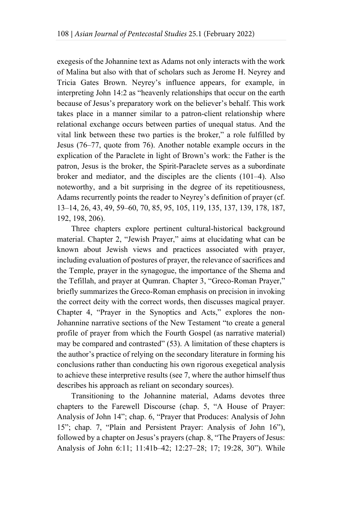exegesis of the Johannine text as Adams not only interacts with the work of Malina but also with that of scholars such as Jerome H. Neyrey and Tricia Gates Brown. Neyrey's influence appears, for example, in interpreting John 14:2 as "heavenly relationships that occur on the earth because of Jesus's preparatory work on the believer's behalf. This work takes place in a manner similar to a patron-client relationship where relational exchange occurs between parties of unequal status. And the vital link between these two parties is the broker," a role fulfilled by Jesus (76–77, quote from 76). Another notable example occurs in the explication of the Paraclete in light of Brown's work: the Father is the patron, Jesus is the broker, the Spirit-Paraclete serves as a subordinate broker and mediator, and the disciples are the clients (101–4). Also noteworthy, and a bit surprising in the degree of its repetitiousness, Adams recurrently points the reader to Neyrey's definition of prayer (cf. 13–14, 26, 43, 49, 59–60, 70, 85, 95, 105, 119, 135, 137, 139, 178, 187, 192, 198, 206).

Three chapters explore pertinent cultural-historical background material. Chapter 2, "Jewish Prayer," aims at elucidating what can be known about Jewish views and practices associated with prayer, including evaluation of postures of prayer, the relevance of sacrifices and the Temple, prayer in the synagogue, the importance of the Shema and the Tefillah, and prayer at Qumran. Chapter 3, "Greco-Roman Prayer," briefly summarizes the Greco-Roman emphasis on precision in invoking the correct deity with the correct words, then discusses magical prayer. Chapter 4, "Prayer in the Synoptics and Acts," explores the non-Johannine narrative sections of the New Testament "to create a general profile of prayer from which the Fourth Gospel (as narrative material) may be compared and contrasted" (53). A limitation of these chapters is the author's practice of relying on the secondary literature in forming his conclusions rather than conducting his own rigorous exegetical analysis to achieve these interpretive results (see 7, where the author himself thus describes his approach as reliant on secondary sources).

Transitioning to the Johannine material, Adams devotes three chapters to the Farewell Discourse (chap. 5, "A House of Prayer: Analysis of John 14"; chap. 6, "Prayer that Produces: Analysis of John 15"; chap. 7, "Plain and Persistent Prayer: Analysis of John 16"), followed by a chapter on Jesus's prayers (chap. 8, "The Prayers of Jesus: Analysis of John 6:11; 11:41b–42; 12:27–28; 17; 19:28, 30"). While